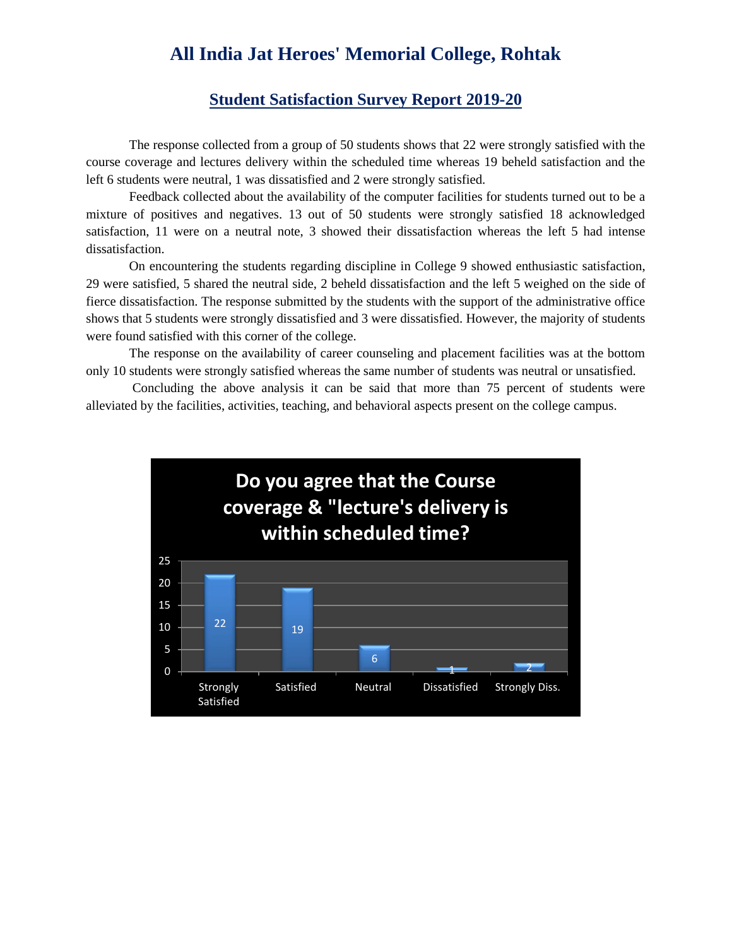## **All India Jat Heroes' Memorial College, Rohtak**

## **Student Satisfaction Survey Report 2019-20**

The response collected from a group of 50 students shows that 22 were strongly satisfied with the course coverage and lectures delivery within the scheduled time whereas 19 beheld satisfaction and the left 6 students were neutral, 1 was dissatisfied and 2 were strongly satisfied.

Feedback collected about the availability of the computer facilities for students turned out to be a mixture of positives and negatives. 13 out of 50 students were strongly satisfied 18 acknowledged satisfaction, 11 were on a neutral note, 3 showed their dissatisfaction whereas the left 5 had intense dissatisfaction.

On encountering the students regarding discipline in College 9 showed enthusiastic satisfaction, 29 were satisfied, 5 shared the neutral side, 2 beheld dissatisfaction and the left 5 weighed on the side of fierce dissatisfaction. The response submitted by the students with the support of the administrative office shows that 5 students were strongly dissatisfied and 3 were dissatisfied. However, the majority of students were found satisfied with this corner of the college.

The response on the availability of career counseling and placement facilities was at the bottom only 10 students were strongly satisfied whereas the same number of students was neutral or unsatisfied.

Concluding the above analysis it can be said that more than 75 percent of students were alleviated by the facilities, activities, teaching, and behavioral aspects present on the college campus.

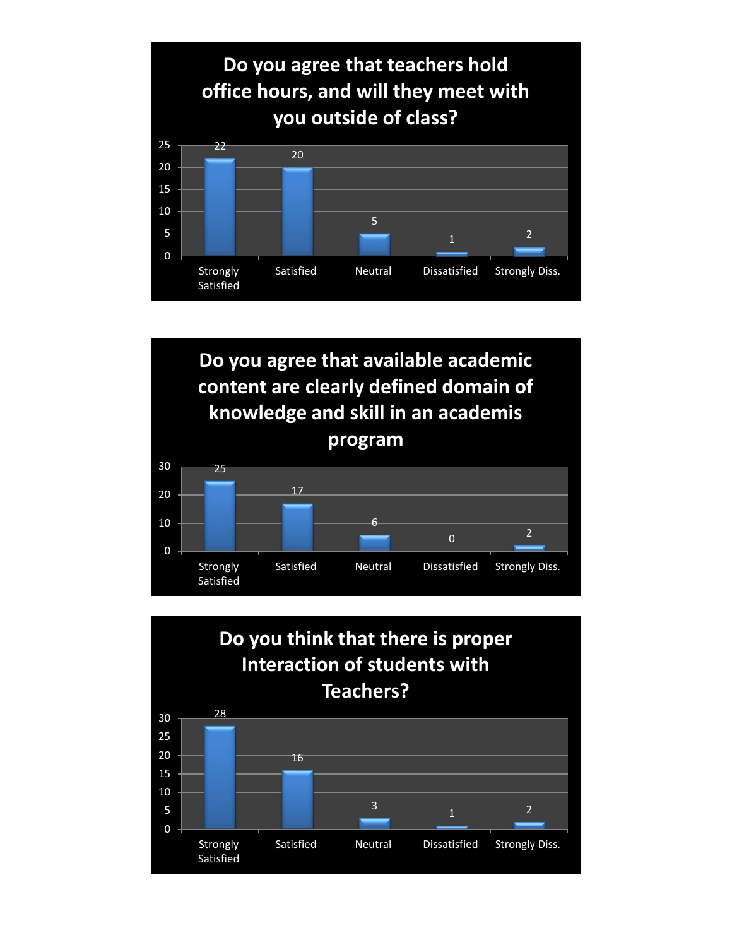



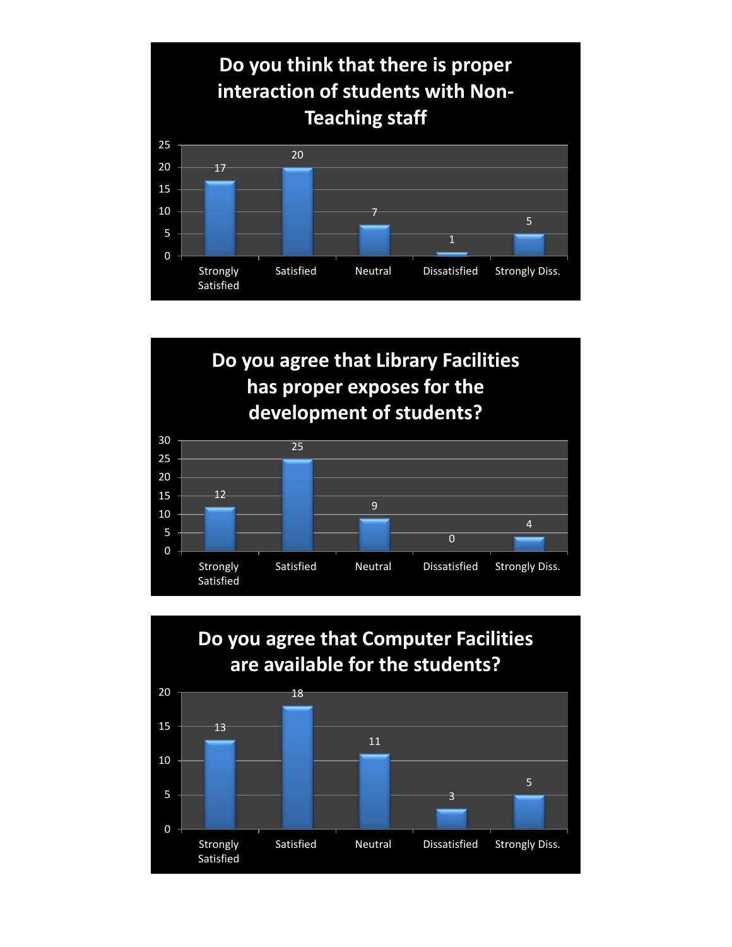



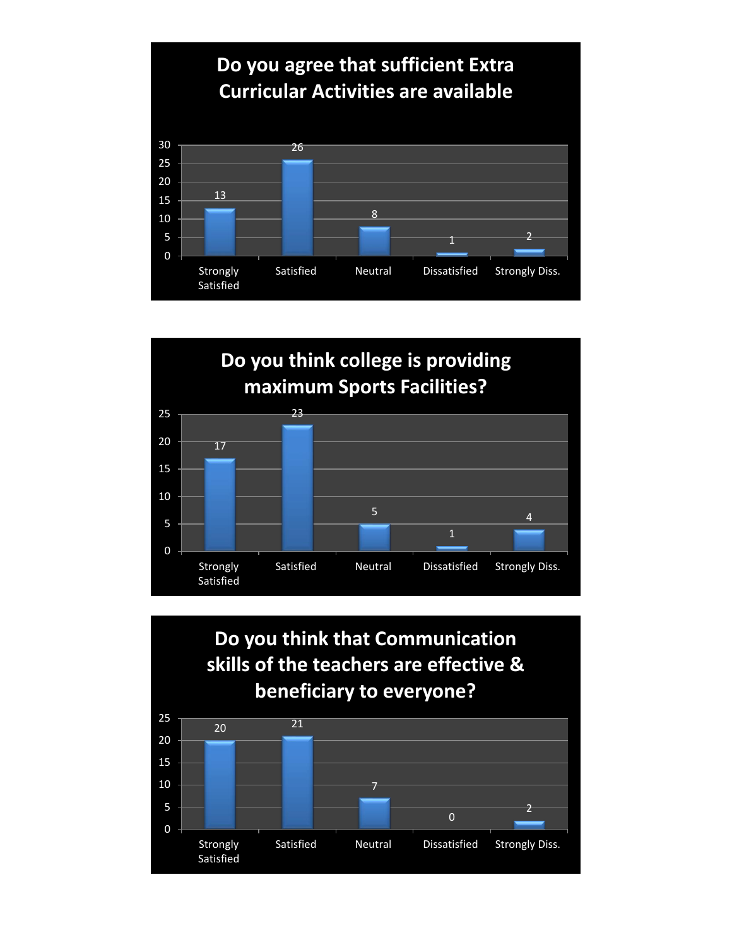





Satisfied Neutral Dissatisfied Strongly Diss.

Strongly Satisfied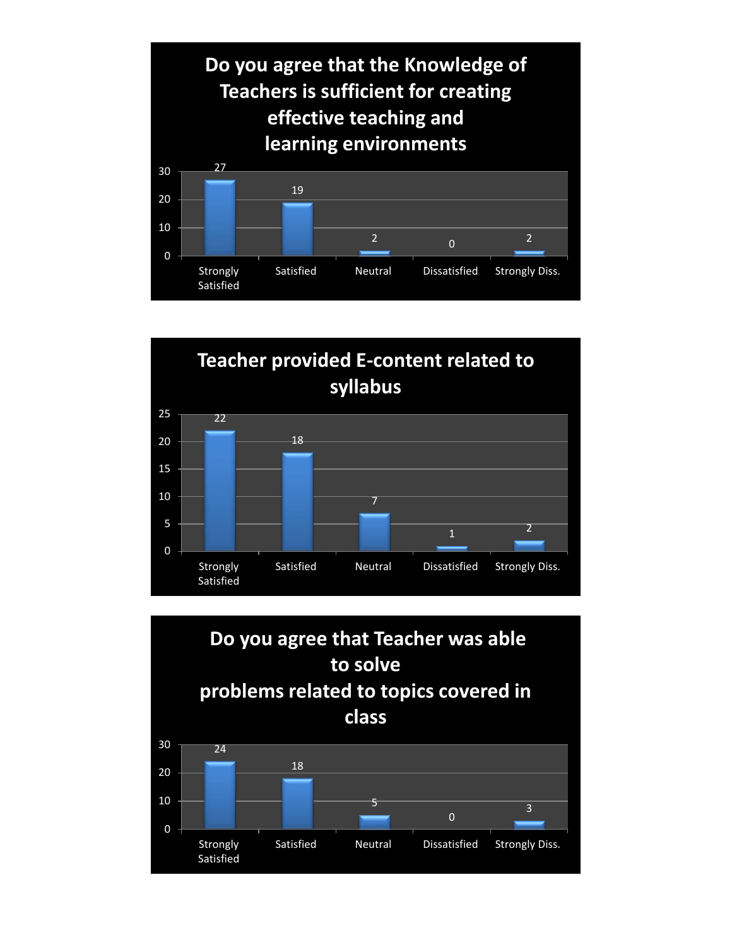



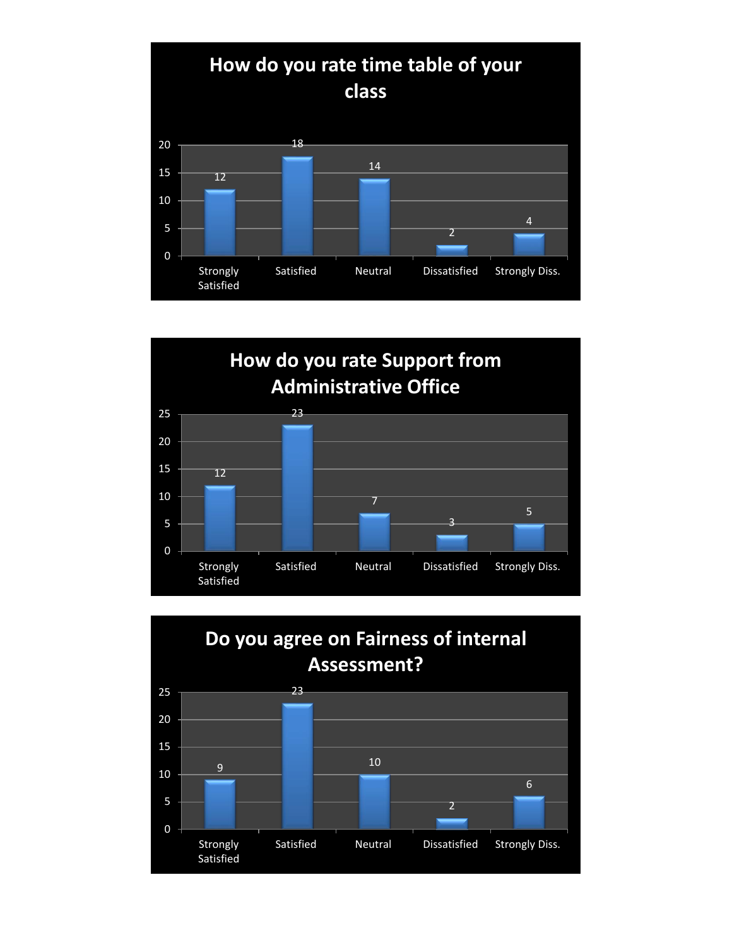



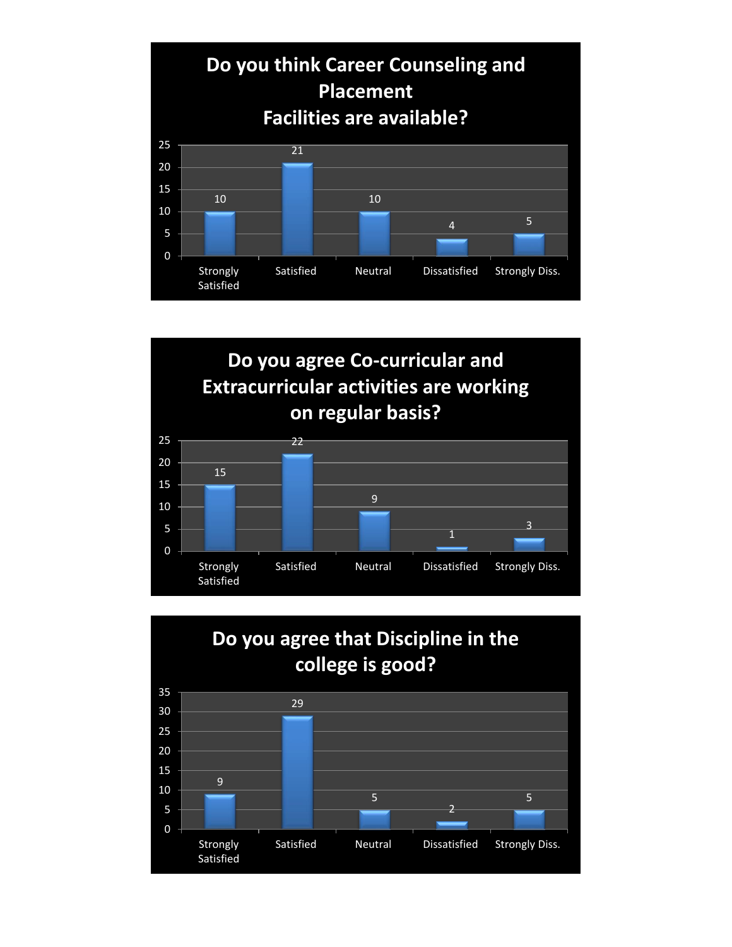



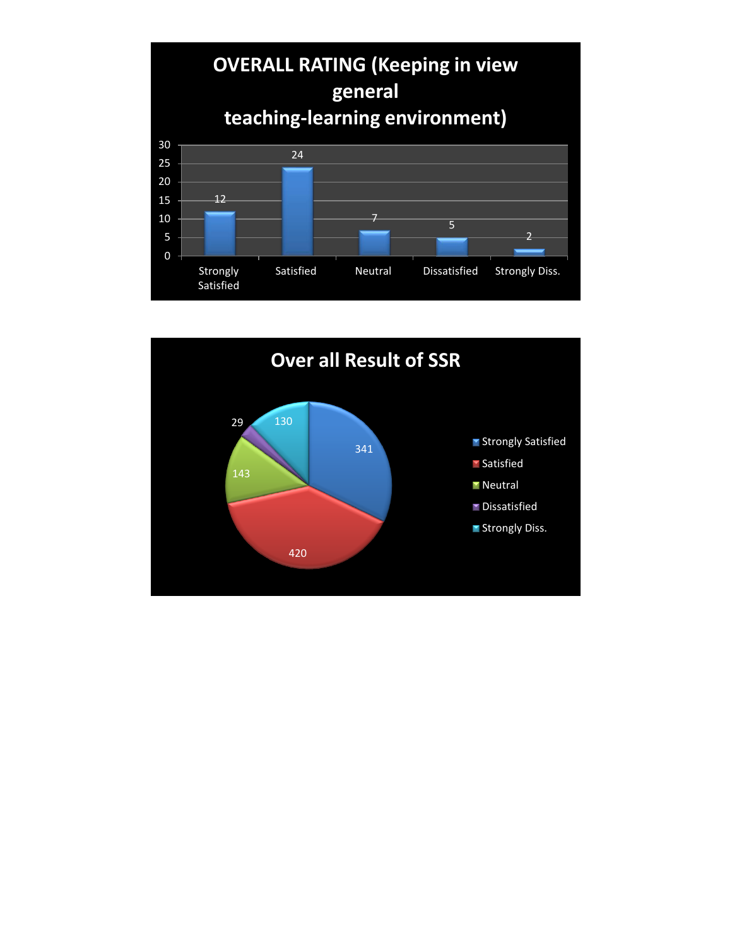

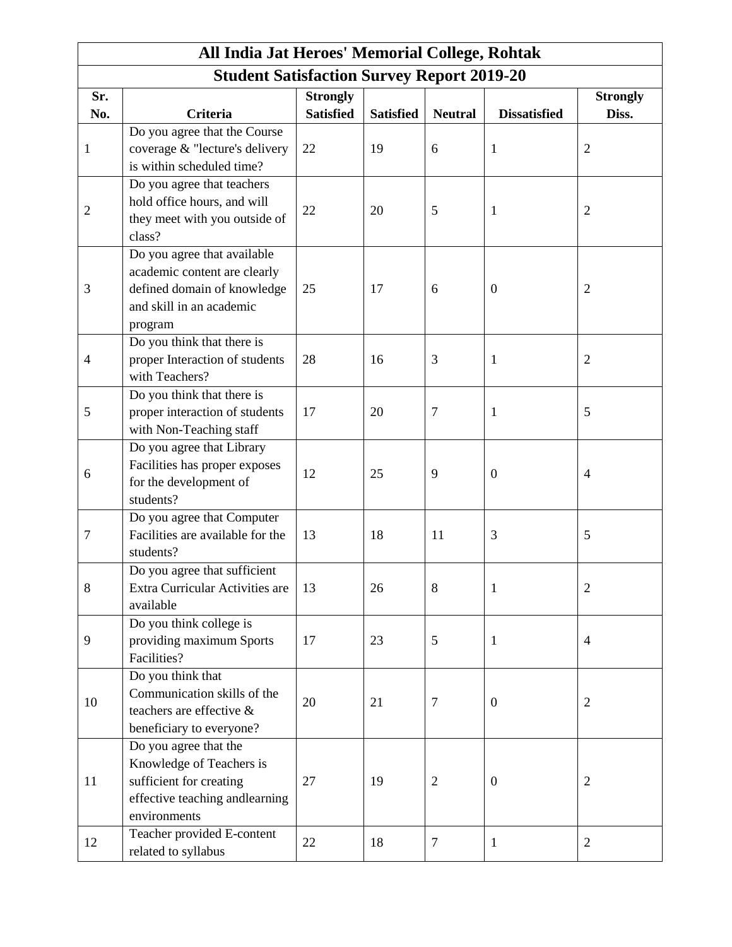| All India Jat Heroes' Memorial College, Rohtak    |                                                                 |                  |                  |                |                     |                          |  |  |  |  |
|---------------------------------------------------|-----------------------------------------------------------------|------------------|------------------|----------------|---------------------|--------------------------|--|--|--|--|
| <b>Student Satisfaction Survey Report 2019-20</b> |                                                                 |                  |                  |                |                     |                          |  |  |  |  |
| Sr.                                               |                                                                 | <b>Strongly</b>  |                  |                |                     | <b>Strongly</b>          |  |  |  |  |
| No.                                               | <b>Criteria</b>                                                 | <b>Satisfied</b> | <b>Satisfied</b> | <b>Neutral</b> | <b>Dissatisfied</b> | Diss.                    |  |  |  |  |
| $\mathbf{1}$                                      | Do you agree that the Course                                    |                  |                  |                |                     |                          |  |  |  |  |
|                                                   | coverage & "lecture's delivery                                  | 22               | 19               | 6              | $\mathbf{1}$        | $\overline{2}$           |  |  |  |  |
|                                                   | is within scheduled time?                                       |                  |                  |                |                     |                          |  |  |  |  |
| 2                                                 | Do you agree that teachers<br>hold office hours, and will       |                  |                  |                |                     |                          |  |  |  |  |
|                                                   | they meet with you outside of                                   | 22               | 20               | 5              | 1                   | $\overline{c}$           |  |  |  |  |
|                                                   | class?                                                          |                  |                  |                |                     |                          |  |  |  |  |
|                                                   | Do you agree that available                                     |                  |                  |                |                     |                          |  |  |  |  |
| 3                                                 | academic content are clearly                                    |                  |                  |                |                     |                          |  |  |  |  |
|                                                   | defined domain of knowledge                                     | 25               | 17               | 6              | $\boldsymbol{0}$    | $\overline{c}$           |  |  |  |  |
|                                                   | and skill in an academic                                        |                  |                  |                |                     |                          |  |  |  |  |
|                                                   | program                                                         |                  |                  |                |                     |                          |  |  |  |  |
| 4                                                 | Do you think that there is                                      |                  |                  |                |                     |                          |  |  |  |  |
|                                                   | proper Interaction of students                                  | 28               | 16               | 3              | 1                   | $\overline{2}$           |  |  |  |  |
|                                                   | with Teachers?                                                  |                  |                  |                |                     |                          |  |  |  |  |
|                                                   | Do you think that there is                                      |                  |                  |                |                     |                          |  |  |  |  |
| 5                                                 | proper interaction of students                                  | 17               | 20               | 7              | 1                   | 5                        |  |  |  |  |
|                                                   | with Non-Teaching staff                                         |                  |                  |                |                     |                          |  |  |  |  |
| 6                                                 | Do you agree that Library                                       |                  |                  |                |                     |                          |  |  |  |  |
|                                                   | Facilities has proper exposes                                   | 12               | 25               | 9              | $\overline{0}$      | 4                        |  |  |  |  |
|                                                   | for the development of                                          |                  |                  |                |                     |                          |  |  |  |  |
|                                                   | students?                                                       |                  |                  |                |                     |                          |  |  |  |  |
|                                                   | Do you agree that Computer                                      |                  |                  |                |                     |                          |  |  |  |  |
| 7                                                 | Facilities are available for the                                | 13               | 18               | 11             | 3                   | 5                        |  |  |  |  |
|                                                   | students?                                                       |                  |                  |                |                     |                          |  |  |  |  |
| 8                                                 | Do you agree that sufficient<br>Extra Curricular Activities are | 13               | 26               | 8              |                     | $\overline{2}$           |  |  |  |  |
|                                                   | available                                                       |                  |                  |                | 1                   |                          |  |  |  |  |
|                                                   | Do you think college is                                         |                  |                  |                |                     |                          |  |  |  |  |
| 9                                                 | providing maximum Sports                                        | 17               | 23               | 5              | $\mathbf{1}$        | $\overline{\mathcal{A}}$ |  |  |  |  |
|                                                   | Facilities?                                                     |                  |                  |                |                     |                          |  |  |  |  |
| 10                                                | Do you think that                                               |                  |                  |                |                     |                          |  |  |  |  |
|                                                   | Communication skills of the                                     |                  |                  |                |                     |                          |  |  |  |  |
|                                                   | teachers are effective &                                        | 20               | 21               | $\overline{7}$ | $\boldsymbol{0}$    | $\overline{c}$           |  |  |  |  |
|                                                   | beneficiary to everyone?                                        |                  |                  |                |                     |                          |  |  |  |  |
| 11                                                | Do you agree that the                                           |                  |                  |                |                     |                          |  |  |  |  |
|                                                   | Knowledge of Teachers is                                        |                  |                  |                |                     |                          |  |  |  |  |
|                                                   | sufficient for creating                                         | 27               | 19               | $\overline{2}$ | $\mathbf{0}$        | $\overline{c}$           |  |  |  |  |
|                                                   | effective teaching andlearning                                  |                  |                  |                |                     |                          |  |  |  |  |
|                                                   | environments                                                    |                  |                  |                |                     |                          |  |  |  |  |
| 12                                                | Teacher provided E-content                                      | 22               | 18               | $\overline{7}$ | $\mathbf{1}$        | $\overline{2}$           |  |  |  |  |
|                                                   | related to syllabus                                             |                  |                  |                |                     |                          |  |  |  |  |